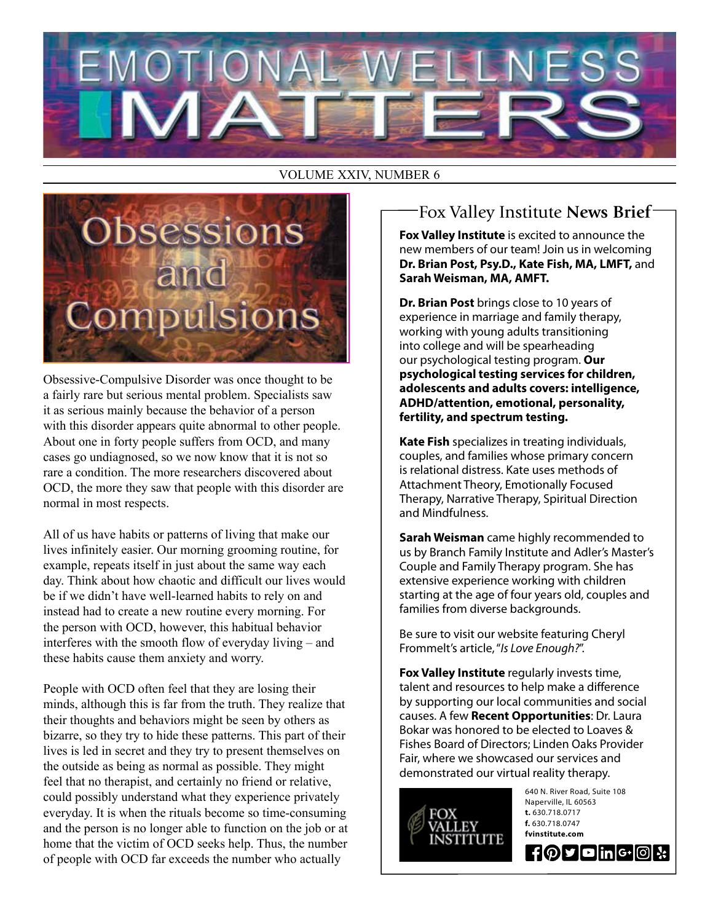# MOTION

#### VOLUME XXIV, NUMBER 6



Obsessive-Compulsive Disorder was once thought to be a fairly rare but serious mental problem. Specialists saw it as serious mainly because the behavior of a person with this disorder appears quite abnormal to other people. About one in forty people suffers from OCD, and many cases go undiagnosed, so we now know that it is not so rare a condition. The more researchers discovered about OCD, the more they saw that people with this disorder are normal in most respects.

All of us have habits or patterns of living that make our lives infinitely easier. Our morning grooming routine, for example, repeats itself in just about the same way each day. Think about how chaotic and difficult our lives would be if we didn't have well-learned habits to rely on and instead had to create a new routine every morning. For the person with OCD, however, this habitual behavior interferes with the smooth flow of everyday living – and these habits cause them anxiety and worry.

People with OCD often feel that they are losing their minds, although this is far from the truth. They realize that their thoughts and behaviors might be seen by others as bizarre, so they try to hide these patterns. This part of their lives is led in secret and they try to present themselves on the outside as being as normal as possible. They might feel that no therapist, and certainly no friend or relative, could possibly understand what they experience privately everyday. It is when the rituals become so time-consuming and the person is no longer able to function on the job or at home that the victim of OCD seeks help. Thus, the number of people with OCD far exceeds the number who actually

#### Fox Valley Institute **News Brief**

**Fox Valley Institute** is excited to announce the new members of our team! Join us in welcoming **Dr. Brian Post, Psy.D., Kate Fish, MA, LMFT,** and **Sarah Weisman, MA, AMFT.**

**Dr. Brian Post** brings close to 10 years of experience in marriage and family therapy, working with young adults transitioning into college and will be spearheading our psychological testing program. **Our psychological testing services for children, adolescents and adults covers: intelligence, ADHD/attention, emotional, personality, fertility, and spectrum testing.**

**Kate Fish** specializes in treating individuals, couples, and families whose primary concern is relational distress. Kate uses methods of Attachment Theory, Emotionally Focused Therapy, Narrative Therapy, Spiritual Direction and Mindfulness.

**Sarah Weisman** came highly recommended to us by Branch Family Institute and Adler's Master's Couple and Family Therapy program. She has extensive experience working with children starting at the age of four years old, couples and families from diverse backgrounds.

Be sure to visit our website featuring Cheryl Frommelt's article, "*Is Love Enough?*".

**Fox Valley Institute** regularly invests time, talent and resources to help make a difference by supporting our local communities and social causes. A few **Recent Opportunities**: Dr. Laura Bokar was honored to be elected to Loaves & Fishes Board of Directors; Linden Oaks Provider Fair, where we showcased our services and demonstrated our virtual reality therapy.

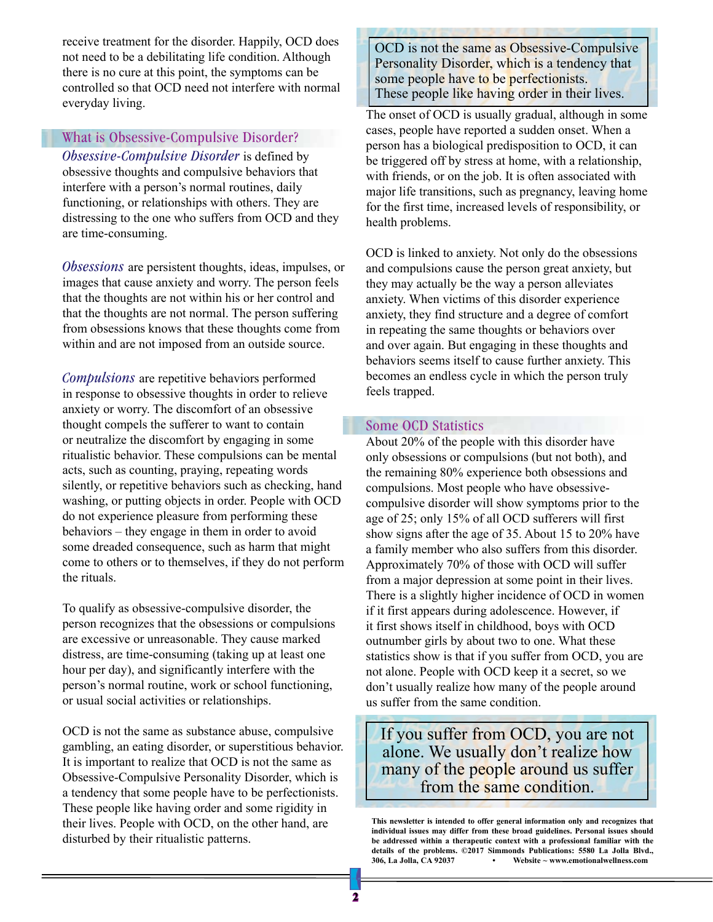receive treatment for the disorder. Happily, OCD does not need to be a debilitating life condition. Although there is no cure at this point, the symptoms can be controlled so that OCD need not interfere with normal everyday living.

#### What is Obsessive-Compulsive Disorder?

*Obsessive-Compulsive Disorder* is defined by obsessive thoughts and compulsive behaviors that interfere with a person's normal routines, daily functioning, or relationships with others. They are distressing to the one who suffers from OCD and they are time-consuming.

*Obsessions* are persistent thoughts, ideas, impulses, or images that cause anxiety and worry. The person feels that the thoughts are not within his or her control and that the thoughts are not normal. The person suffering from obsessions knows that these thoughts come from within and are not imposed from an outside source.

*Compulsions* are repetitive behaviors performed in response to obsessive thoughts in order to relieve anxiety or worry. The discomfort of an obsessive thought compels the sufferer to want to contain or neutralize the discomfort by engaging in some ritualistic behavior. These compulsions can be mental acts, such as counting, praying, repeating words silently, or repetitive behaviors such as checking, hand washing, or putting objects in order. People with OCD do not experience pleasure from performing these behaviors – they engage in them in order to avoid some dreaded consequence, such as harm that might come to others or to themselves, if they do not perform the rituals.

To qualify as obsessive-compulsive disorder, the person recognizes that the obsessions or compulsions are excessive or unreasonable. They cause marked distress, are time-consuming (taking up at least one hour per day), and significantly interfere with the person's normal routine, work or school functioning, or usual social activities or relationships.

OCD is not the same as substance abuse, compulsive gambling, an eating disorder, or superstitious behavior. It is important to realize that OCD is not the same as Obsessive-Compulsive Personality Disorder, which is a tendency that some people have to be perfectionists. These people like having order and some rigidity in their lives. People with OCD, on the other hand, are disturbed by their ritualistic patterns.

OCD is not the same as Obsessive-Compulsive Personality Disorder, which is a tendency that some people have to be perfectionists. These people like having order in their lives.

The onset of OCD is usually gradual, although in some cases, people have reported a sudden onset. When a person has a biological predisposition to OCD, it can be triggered off by stress at home, with a relationship, with friends, or on the job. It is often associated with major life transitions, such as pregnancy, leaving home for the first time, increased levels of responsibility, or health problems.

OCD is linked to anxiety. Not only do the obsessions and compulsions cause the person great anxiety, but they may actually be the way a person alleviates anxiety. When victims of this disorder experience anxiety, they find structure and a degree of comfort in repeating the same thoughts or behaviors over and over again. But engaging in these thoughts and behaviors seems itself to cause further anxiety. This becomes an endless cycle in which the person truly feels trapped.

#### Some OCD Statistics

About 20% of the people with this disorder have only obsessions or compulsions (but not both), and the remaining 80% experience both obsessions and compulsions. Most people who have obsessivecompulsive disorder will show symptoms prior to the age of 25; only 15% of all OCD sufferers will first show signs after the age of 35. About 15 to 20% have a family member who also suffers from this disorder. Approximately 70% of those with OCD will suffer from a major depression at some point in their lives. There is a slightly higher incidence of OCD in women if it first appears during adolescence. However, if it first shows itself in childhood, boys with OCD outnumber girls by about two to one. What these statistics show is that if you suffer from OCD, you are not alone. People with OCD keep it a secret, so we don't usually realize how many of the people around us suffer from the same condition.

If you suffer from OCD, you are not alone. We usually don't realize how many of the people around us suffer from the same condition.

**This newsletter is intended to offer general information only and recognizes that individual issues may differ from these broad guidelines. Personal issues should be addressed within a therapeutic context with a professional familiar with the details of the problems. ©2017 Simmonds Publications: 5580 La Jolla Blvd., 306, La Jolla, CA 92037 • Website ~ www.emotionalwellness.com**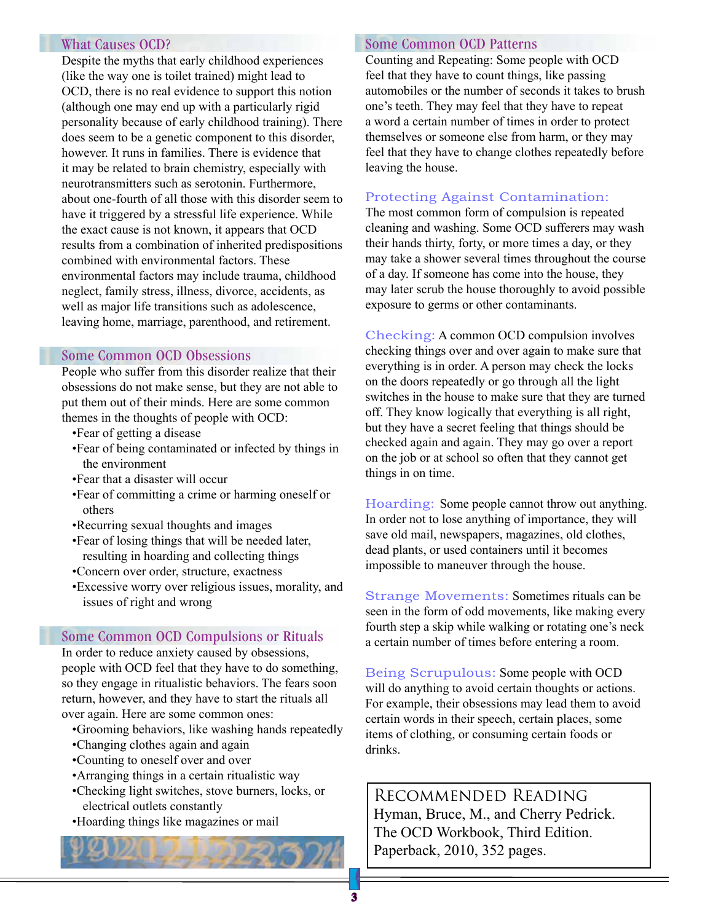#### What Causes OCD?

Despite the myths that early childhood experiences (like the way one is toilet trained) might lead to OCD, there is no real evidence to support this notion (although one may end up with a particularly rigid personality because of early childhood training). There does seem to be a genetic component to this disorder, however. It runs in families. There is evidence that it may be related to brain chemistry, especially with neurotransmitters such as serotonin. Furthermore, about one-fourth of all those with this disorder seem to have it triggered by a stressful life experience. While the exact cause is not known, it appears that OCD results from a combination of inherited predispositions combined with environmental factors. These environmental factors may include trauma, childhood neglect, family stress, illness, divorce, accidents, as well as major life transitions such as adolescence, leaving home, marriage, parenthood, and retirement.

#### Some Common OCD Obsessions

People who suffer from this disorder realize that their obsessions do not make sense, but they are not able to put them out of their minds. Here are some common themes in the thoughts of people with OCD:

- •Fear of getting a disease
- •Fear of being contaminated or infected by things in the environment
- •Fear that a disaster will occur
- •Fear of committing a crime or harming oneself or others
- •Recurring sexual thoughts and images
- •Fear of losing things that will be needed later, resulting in hoarding and collecting things
- •Concern over order, structure, exactness
- •Excessive worry over religious issues, morality, and issues of right and wrong

#### Some Common OCD Compulsions or Rituals

In order to reduce anxiety caused by obsessions, people with OCD feel that they have to do something, so they engage in ritualistic behaviors. The fears soon return, however, and they have to start the rituals all over again. Here are some common ones:

- •Grooming behaviors, like washing hands repeatedly
- •Changing clothes again and again
- •Counting to oneself over and over
- •Arranging things in a certain ritualistic way
- •Checking light switches, stove burners, locks, or electrical outlets constantly
- •Hoarding things like magazines or mail

#### Some Common OCD Patterns

Counting and Repeating: Some people with OCD feel that they have to count things, like passing automobiles or the number of seconds it takes to brush one's teeth. They may feel that they have to repeat a word a certain number of times in order to protect themselves or someone else from harm, or they may feel that they have to change clothes repeatedly before leaving the house.

#### Protecting Against Contamination:

The most common form of compulsion is repeated cleaning and washing. Some OCD sufferers may wash their hands thirty, forty, or more times a day, or they may take a shower several times throughout the course of a day. If someone has come into the house, they may later scrub the house thoroughly to avoid possible exposure to germs or other contaminants.

Checking: A common OCD compulsion involves checking things over and over again to make sure that everything is in order. A person may check the locks on the doors repeatedly or go through all the light switches in the house to make sure that they are turned off. They know logically that everything is all right, but they have a secret feeling that things should be checked again and again. They may go over a report on the job or at school so often that they cannot get things in on time.

Hoarding: Some people cannot throw out anything. In order not to lose anything of importance, they will save old mail, newspapers, magazines, old clothes, dead plants, or used containers until it becomes impossible to maneuver through the house.

Strange Movements: Sometimes rituals can be seen in the form of odd movements, like making every fourth step a skip while walking or rotating one's neck a certain number of times before entering a room.

Being Scrupulous: Some people with OCD will do anything to avoid certain thoughts or actions. For example, their obsessions may lead them to avoid certain words in their speech, certain places, some items of clothing, or consuming certain foods or drinks.

Recommended Reading Hyman, Bruce, M., and Cherry Pedrick. The OCD Workbook, Third Edition. Paperback, 2010, 352 pages.